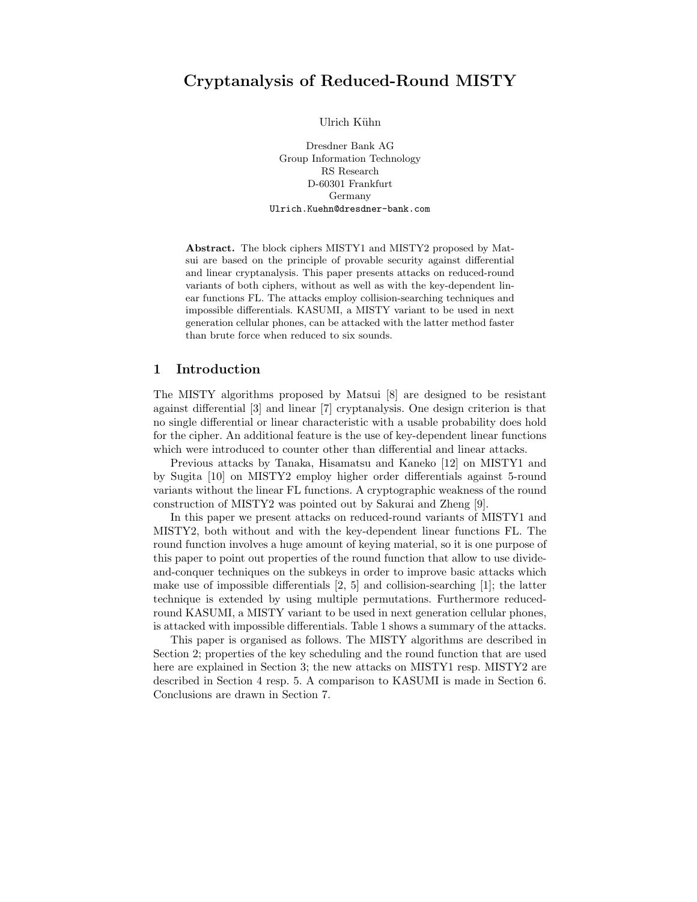# Cryptanalysis of Reduced-Round MISTY

Ulrich Kühn

Dresdner Bank AG Group Information Technology RS Research D-60301 Frankfurt Germany Ulrich.Kuehn@dresdner-bank.com

Abstract. The block ciphers MISTY1 and MISTY2 proposed by Matsui are based on the principle of provable security against differential and linear cryptanalysis. This paper presents attacks on reduced-round variants of both ciphers, without as well as with the key-dependent linear functions FL. The attacks employ collision-searching techniques and impossible differentials. KASUMI, a MISTY variant to be used in next generation cellular phones, can be attacked with the latter method faster than brute force when reduced to six sounds.

### 1 Introduction

The MISTY algorithms proposed by Matsui [8] are designed to be resistant against differential [3] and linear [7] cryptanalysis. One design criterion is that no single differential or linear characteristic with a usable probability does hold for the cipher. An additional feature is the use of key-dependent linear functions which were introduced to counter other than differential and linear attacks.

Previous attacks by Tanaka, Hisamatsu and Kaneko [12] on MISTY1 and by Sugita [10] on MISTY2 employ higher order differentials against 5-round variants without the linear FL functions. A cryptographic weakness of the round construction of MISTY2 was pointed out by Sakurai and Zheng [9].

In this paper we present attacks on reduced-round variants of MISTY1 and MISTY2, both without and with the key-dependent linear functions FL. The round function involves a huge amount of keying material, so it is one purpose of this paper to point out properties of the round function that allow to use divideand-conquer techniques on the subkeys in order to improve basic attacks which make use of impossible differentials  $[2, 5]$  and collision-searching  $[1]$ ; the latter technique is extended by using multiple permutations. Furthermore reducedround KASUMI, a MISTY variant to be used in next generation cellular phones, is attacked with impossible differentials. Table 1 shows a summary of the attacks.

This paper is organised as follows. The MISTY algorithms are described in Section 2; properties of the key scheduling and the round function that are used here are explained in Section 3; the new attacks on MISTY1 resp. MISTY2 are described in Section 4 resp. 5. A comparison to KASUMI is made in Section 6. Conclusions are drawn in Section 7.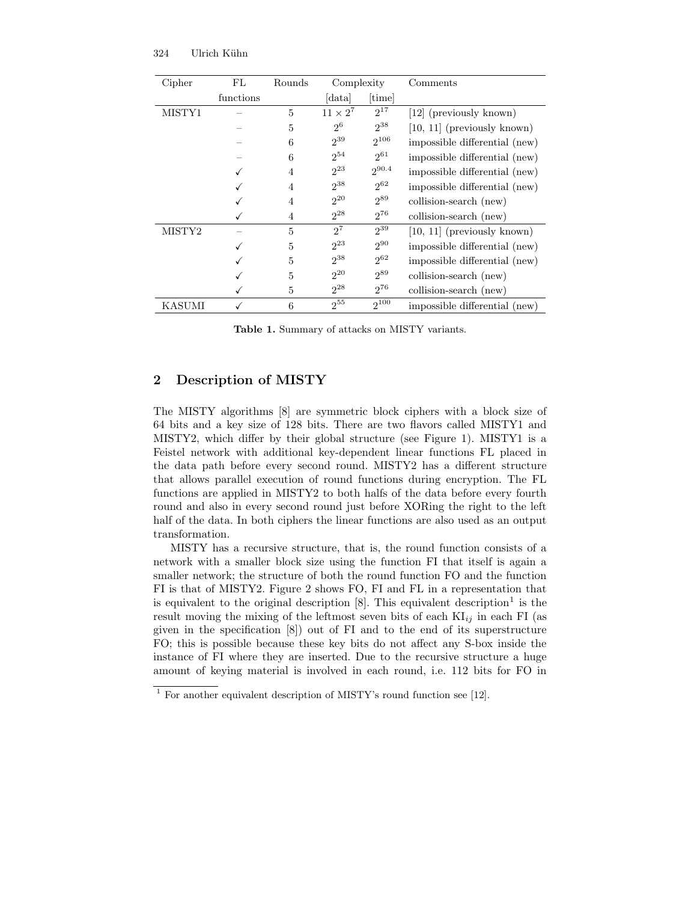| Cipher | FL        | Rounds | Complexity      |                 | Comments                      |
|--------|-----------|--------|-----------------|-----------------|-------------------------------|
|        | functions |        | data            | $[\text{time}]$ |                               |
| MISTY1 |           | 5      | $11 \times 2^7$ | $2^{17}$        | [12] (previously known)       |
|        |           | 5      | 2 <sup>6</sup>  | $2^{38}$        | $[10, 11]$ (previously known) |
|        |           | 6      | $2^{39}$        | $2^{106}$       | impossible differential (new) |
|        |           | 6      | $2^{54}$        | $2^{61}$        | impossible differential (new) |
|        |           | 4      | $2^{23}$        | $2^{90.4}$      | impossible differential (new) |
|        |           | 4      | $2^{38}$        | $2^{62}$        | impossible differential (new) |
|        |           | 4      | $2^{20}$        | $2^{89}$        | collision-search (new)        |
|        |           | 4      | $2^{28}$        | $2^{76}$        | collision-search (new)        |
| MISTY2 |           | 5      | $2^7$           | $2^{39}$        | $[10, 11]$ (previously known) |
|        |           | 5      | $2^{23}$        | $2^{90}$        | impossible differential (new) |
|        |           | 5      | $2^{38}$        | $2^{62}$        | impossible differential (new) |
|        |           | 5      | $2^{20}$        | $2^{89}$        | collision-search (new)        |
|        |           | 5      | $2^{28}$        | $2^{76}$        | collision-search (new)        |
| KASUMI |           | 6      | $2^{55}$        | $2^{100}$       | impossible differential (new) |

Table 1. Summary of attacks on MISTY variants.

### 2 Description of MISTY

The MISTY algorithms [8] are symmetric block ciphers with a block size of 64 bits and a key size of 128 bits. There are two flavors called MISTY1 and MISTY2, which differ by their global structure (see Figure 1). MISTY1 is a Feistel network with additional key-dependent linear functions FL placed in the data path before every second round. MISTY2 has a different structure that allows parallel execution of round functions during encryption. The FL functions are applied in MISTY2 to both halfs of the data before every fourth round and also in every second round just before XORing the right to the left half of the data. In both ciphers the linear functions are also used as an output transformation.

MISTY has a recursive structure, that is, the round function consists of a network with a smaller block size using the function FI that itself is again a smaller network; the structure of both the round function FO and the function FI is that of MISTY2. Figure 2 shows FO, FI and FL in a representation that is equivalent to the original description  $[8]$ . This equivalent description<sup>1</sup> is the result moving the mixing of the leftmost seven bits of each  $KI_{ii}$  in each FI (as given in the specification [8]) out of FI and to the end of its superstructure FO; this is possible because these key bits do not affect any S-box inside the instance of FI where they are inserted. Due to the recursive structure a huge amount of keying material is involved in each round, i.e. 112 bits for FO in

 $1$  For another equivalent description of MISTY's round function see [12].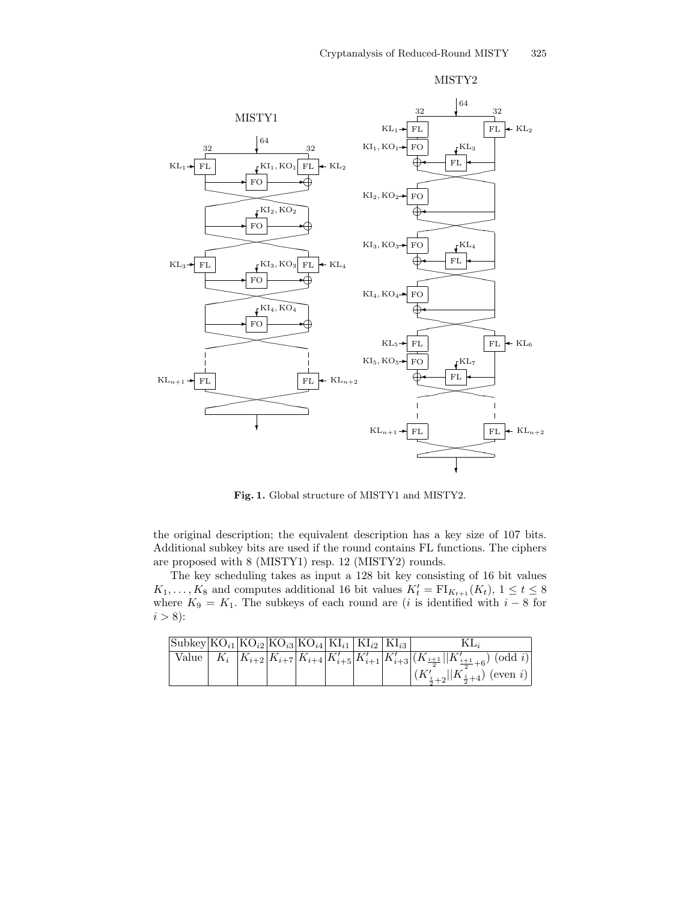

MISTY2

Fig. 1. Global structure of MISTY1 and MISTY2.

the original description; the equivalent description has a key size of 107 bits. Additional subkey bits are used if the round contains FL functions. The ciphers are proposed with 8 (MISTY1) resp. 12 (MISTY2) rounds.

The key scheduling takes as input a 128 bit key consisting of 16 bit values  $K_1, \ldots, K_8$  and computes additional 16 bit values  $K_t' = \mathrm{FI}_{K_{t+1}}(K_t)$ ,  $1 \le t \le 8$ where  $K_9 = K_1$ . The subkeys of each round are (*i* is identified with  $i - 8$  for  $i > 8$ :

| $ \text{Subkey}  \text{KO}_{i1} \text{KO}_{i2} \text{KO}_{i3} \text{KO}_{i4} \text{KI}_{i1} \text{KI}_{i2} \text{KI}_{i3} $ |  |  |  |                                                                                                     |
|-----------------------------------------------------------------------------------------------------------------------------|--|--|--|-----------------------------------------------------------------------------------------------------|
|                                                                                                                             |  |  |  | Value $K_i$ $K_{i+2}K_{i+7}K_{i+4}K'_{i+5}K'_{i+1}K'_{i+3}(K'_{i+3}  K'_{i+3}  K'_{i+3}+6)$ (odd i) |
|                                                                                                                             |  |  |  | $ (K'_{\frac{i}{2}+2}  K_{\frac{i}{2}+4})$ (even i)                                                 |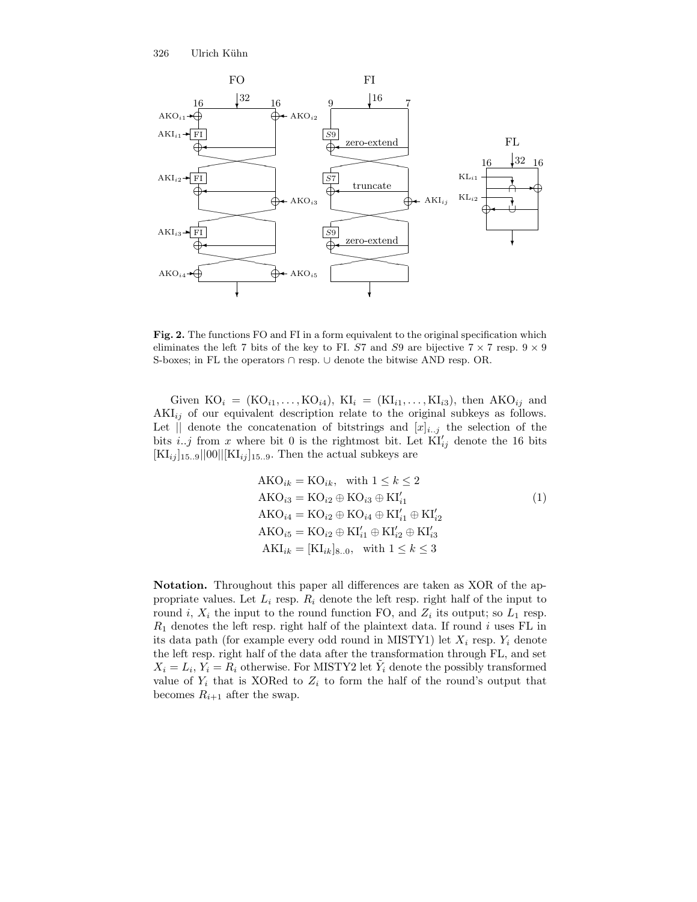

Fig. 2. The functions FO and FI in a form equivalent to the original specification which eliminates the left 7 bits of the key to FI. S7 and S9 are bijective  $7 \times 7$  resp.  $9 \times 9$ S-boxes; in FL the operators ∩ resp. ∪ denote the bitwise AND resp. OR.

Given  $KO_i = (KO_{i1}, \ldots, KO_{i4}), \quad KI_i = (KI_{i1}, \ldots, KI_{i3}), \quad \text{then } \mathbf{AKO}_{ij} \text{ and }$  $AKI_{ij}$  of our equivalent description relate to the original subkeys as follows. Let  $\parallel$  denote the concatenation of bitstrings and  $[x]_{i,j}$  the selection of the bits i..j from x where bit 0 is the rightmost bit. Let  $\text{KI}'_{ij}$  denote the 16 bits  $[\text{KI}_{ij}]_{15..9}||00||[\text{KI}_{ij}]_{15..9}$ . Then the actual subkeys are

$$
AKO_{ik} = KO_{ik}, \text{ with } 1 \le k \le 2
$$
  
\n
$$
AKO_{i3} = KO_{i2} \oplus KO_{i3} \oplus Kl'_{i1}
$$
  
\n
$$
AKO_{i4} = KO_{i2} \oplus KO_{i4} \oplus Kl'_{i1} \oplus Kl'_{i2}
$$
  
\n
$$
AKO_{i5} = KO_{i2} \oplus Kl'_{i1} \oplus Kl'_{i2} \oplus Kl'_{i3}
$$
  
\n
$$
AKI_{ik} = [KL_{ik}]_{8..0}, \text{ with } 1 \le k \le 3
$$
\n(1)

Notation. Throughout this paper all differences are taken as XOR of the appropriate values. Let  $L_i$  resp.  $R_i$  denote the left resp. right half of the input to round i,  $X_i$  the input to the round function FO, and  $Z_i$  its output; so  $L_1$  resp.  $R_1$  denotes the left resp. right half of the plaintext data. If round i uses FL in its data path (for example every odd round in MISTY1) let  $X_i$  resp.  $Y_i$  denote the left resp. right half of the data after the transformation through FL, and set  $X_i = L_i, Y_i = R_i$  otherwise. For MISTY2 let  $\tilde{Y}_i$  denote the possibly transformed value of  $Y_i$  that is XORed to  $Z_i$  to form the half of the round's output that becomes  $R_{i+1}$  after the swap.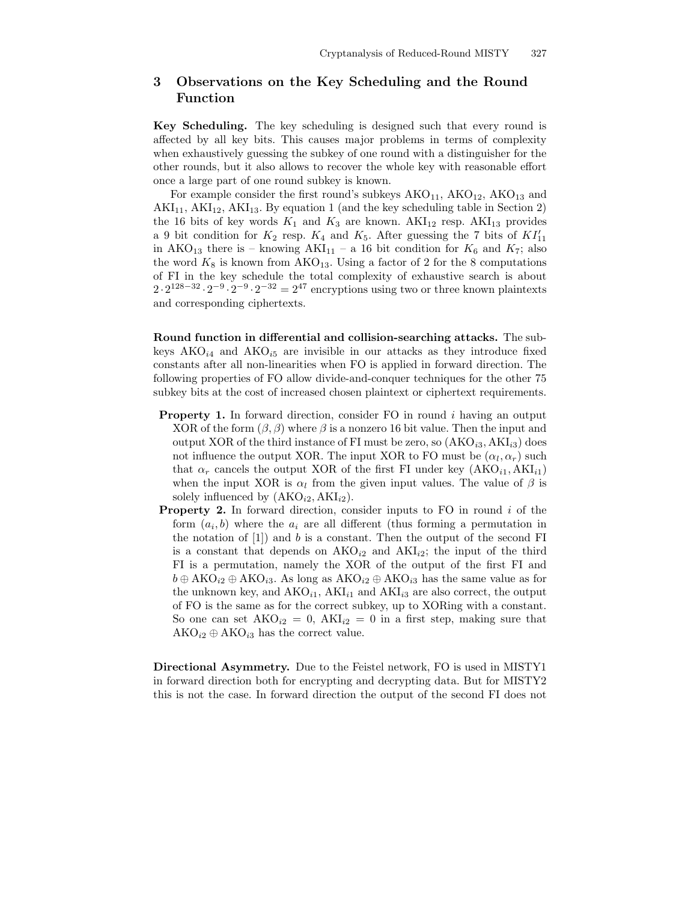## 3 Observations on the Key Scheduling and the Round Function

Key Scheduling. The key scheduling is designed such that every round is affected by all key bits. This causes major problems in terms of complexity when exhaustively guessing the subkey of one round with a distinguisher for the other rounds, but it also allows to recover the whole key with reasonable effort once a large part of one round subkey is known.

For example consider the first round's subkeys  $AKO<sub>11</sub>$ ,  $AKO<sub>12</sub>$ ,  $AKO<sub>13</sub>$  and  $AKI<sub>11</sub>, AKI<sub>12</sub>, AKI<sub>13</sub>. By equation 1 (and the key scheduling table in Section 2)$ the 16 bits of key words  $K_1$  and  $K_3$  are known.  $AKI_{12}$  resp.  $AKI_{13}$  provides a 9 bit condition for  $K_2$  resp.  $K_4$  and  $K_5$ . After guessing the 7 bits of  $KI'_{11}$ in AKO<sub>13</sub> there is – knowing AKI<sub>11</sub> – a 16 bit condition for  $K_6$  and  $K_7$ ; also the word  $K_8$  is known from  $AKO_{13}$ . Using a factor of 2 for the 8 computations of FI in the key schedule the total complexity of exhaustive search is about  $2 \cdot 2^{128-32} \cdot 2^{-9} \cdot 2^{-9} \cdot 2^{-32} = 2^{47}$  encryptions using two or three known plaintexts and corresponding ciphertexts.

Round function in differential and collision-searching attacks. The subkeys  $AKO_{i4}$  and  $AKO_{i5}$  are invisible in our attacks as they introduce fixed constants after all non-linearities when FO is applied in forward direction. The following properties of FO allow divide-and-conquer techniques for the other 75 subkey bits at the cost of increased chosen plaintext or ciphertext requirements.

- Property 1. In forward direction, consider FO in round i having an output XOR of the form  $(\beta, \beta)$  where  $\beta$  is a nonzero 16 bit value. Then the input and output XOR of the third instance of FI must be zero, so  $(AKO_{i3}, AKI_{i3})$  does not influence the output XOR. The input XOR to FO must be  $(\alpha_l, \alpha_r)$  such that  $\alpha_r$  cancels the output XOR of the first FI under key  $(AKO_{i1}, AKI_{i1})$ when the input XOR is  $\alpha_l$  from the given input values. The value of  $\beta$  is solely influenced by  $(AKO_{i2}, AKI_{i2}).$
- **Property 2.** In forward direction, consider inputs to FO in round  $i$  of the form  $(a_i, b)$  where the  $a_i$  are all different (thus forming a permutation in the notation of  $[1]$  and b is a constant. Then the output of the second FI is a constant that depends on  $AKO_{i2}$  and  $AKI_{i2}$ ; the input of the third FI is a permutation, namely the XOR of the output of the first FI and  $b \oplus AKO_{i2} \oplus AKO_{i3}$ . As long as  $AKO_{i2} \oplus AKO_{i3}$  has the same value as for the unknown key, and  $AKO_{i1}$ ,  $AKI_{i1}$  and  $AKI_{i3}$  are also correct, the output of FO is the same as for the correct subkey, up to XORing with a constant. So one can set  $AKO_{i2} = 0$ ,  $AKI_{i2} = 0$  in a first step, making sure that  $AKO_{i2} \oplus AKO_{i3}$  has the correct value.

Directional Asymmetry. Due to the Feistel network, FO is used in MISTY1 in forward direction both for encrypting and decrypting data. But for MISTY2 this is not the case. In forward direction the output of the second FI does not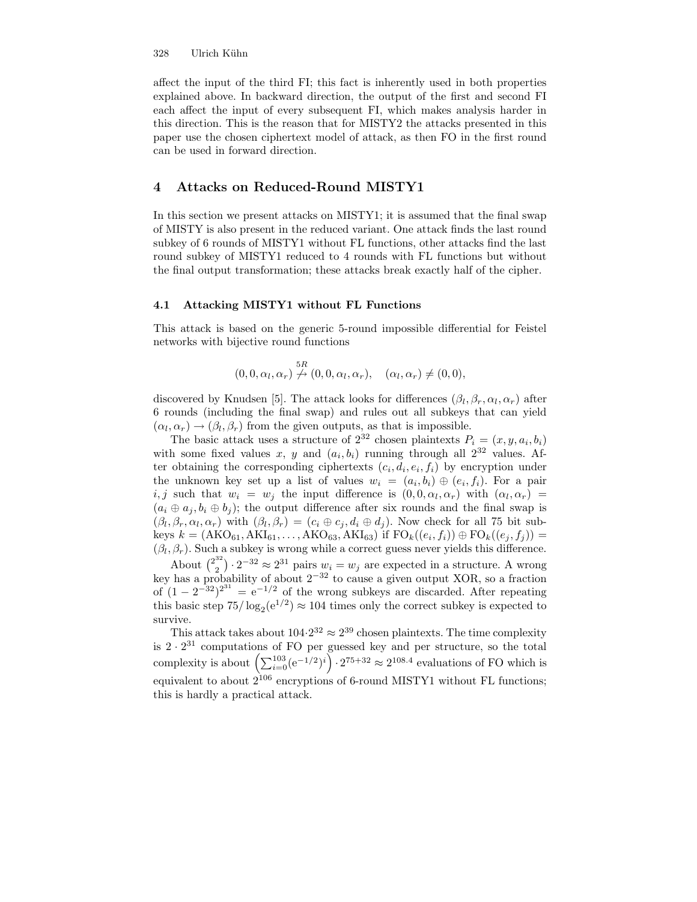#### 328 Ulrich Kühn

affect the input of the third FI; this fact is inherently used in both properties explained above. In backward direction, the output of the first and second FI each affect the input of every subsequent FI, which makes analysis harder in this direction. This is the reason that for MISTY2 the attacks presented in this paper use the chosen ciphertext model of attack, as then FO in the first round can be used in forward direction.

### 4 Attacks on Reduced-Round MISTY1

In this section we present attacks on MISTY1; it is assumed that the final swap of MISTY is also present in the reduced variant. One attack finds the last round subkey of 6 rounds of MISTY1 without FL functions, other attacks find the last round subkey of MISTY1 reduced to 4 rounds with FL functions but without the final output transformation; these attacks break exactly half of the cipher.

#### 4.1 Attacking MISTY1 without FL Functions

This attack is based on the generic 5-round impossible differential for Feistel networks with bijective round functions

$$
(0,0,\alpha_l,\alpha_r) \stackrel{5R}{\nrightarrow} (0,0,\alpha_l,\alpha_r), \quad (\alpha_l,\alpha_r) \neq (0,0),
$$

discovered by Knudsen [5]. The attack looks for differences  $(\beta_l, \beta_r, \alpha_l, \alpha_r)$  after 6 rounds (including the final swap) and rules out all subkeys that can yield  $(\alpha_l, \alpha_r) \rightarrow (\beta_l, \beta_r)$  from the given outputs, as that is impossible.

The basic attack uses a structure of  $2^{32}$  chosen plaintexts  $P_i = (x, y, a_i, b_i)$ with some fixed values x, y and  $(a_i, b_i)$  running through all  $2^{32}$  values. After obtaining the corresponding ciphertexts  $(c_i, d_i, e_i, f_i)$  by encryption under the unknown key set up a list of values  $w_i = (a_i, b_i) \oplus (e_i, f_i)$ . For a pair i, j such that  $w_i = w_j$  the input difference is  $(0, 0, \alpha_l, \alpha_r)$  with  $(\alpha_l, \alpha_r)$  $(a_i \oplus a_j, b_i \oplus b_j)$ ; the output difference after six rounds and the final swap is  $(\beta_l, \beta_r, \alpha_l, \alpha_r)$  with  $(\beta_l, \beta_r) = (c_i \oplus c_j, d_i \oplus d_j)$ . Now check for all 75 bit subkeys  $k = (AKO_{61}, AKI_{61}, \ldots, AKO_{63}, AKI_{63})$  if  $FO_k((e_i, f_i)) \oplus FO_k((e_j, f_j)) =$  $(\beta_l, \beta_r)$ . Such a subkey is wrong while a correct guess never yields this difference.

About  $\binom{2^{32}}{2}$  $\binom{32}{2} \cdot 2^{-32} \approx 2^{31}$  pairs  $w_i = w_j$  are expected in a structure. A wrong key has a probability of about  $2^{-32}$  to cause a given output XOR, so a fraction of  $(1 - 2^{-32})^{2^{31}} = e^{-1/2}$  of the wrong subkeys are discarded. After repeating this basic step  $75/\log_2(e^{1/2}) \approx 104$  times only the correct subkey is expected to survive.

This attack takes about  $104 \cdot 2^{32} \approx 2^{39}$  chosen plaintexts. The time complexity is  $2 \cdot 2^{31}$  computations of FO per guessed key and per structure, so the total complexity is about  $\left(\sum_{i=0}^{103} (e^{-1/2})^i\right) \cdot 2^{75+32} \approx 2^{108.4}$  evaluations of FO which is equivalent to about  $2^{106}$  encryptions of 6-round MISTY1 without FL functions; this is hardly a practical attack.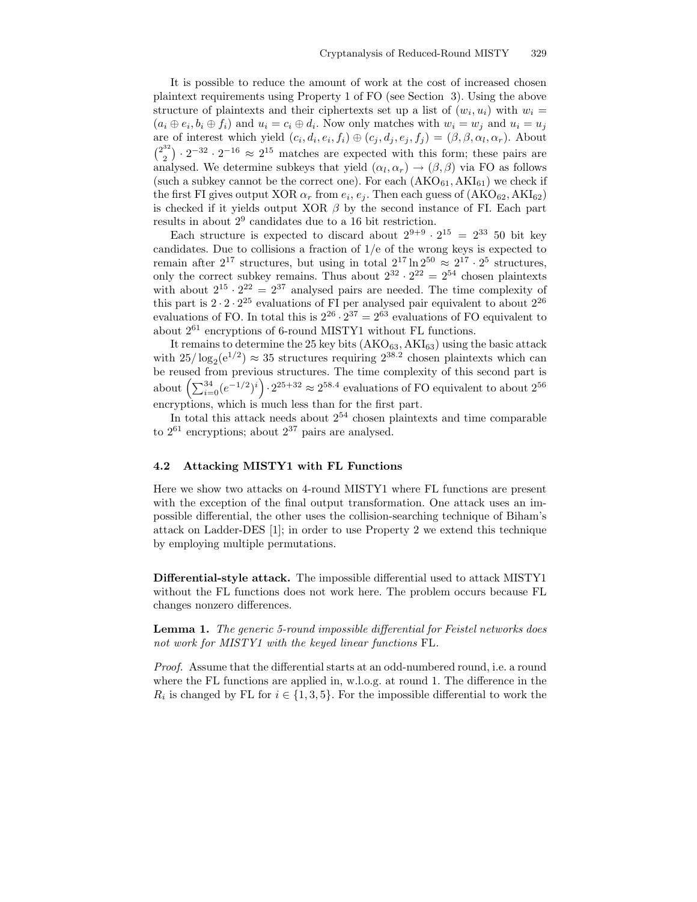It is possible to reduce the amount of work at the cost of increased chosen plaintext requirements using Property 1 of FO (see Section 3). Using the above structure of plaintexts and their ciphertexts set up a list of  $(w_i, u_i)$  with  $w_i =$  $(a_i \oplus e_i, b_i \oplus f_i)$  and  $u_i = c_i \oplus d_i$ . Now only matches with  $w_i = w_j$  and  $u_i = u_j$ are of interest which yield  $(c_i, d_i, e_i, f_i) \oplus (c_j, d_j, e_j, f_j) = (\beta, \beta, \alpha_l, \alpha_r)$ . About  $\binom{2^{32}}{2}$  $\binom{32}{2} \cdot 2^{-32} \cdot 2^{-16} \approx 2^{15}$  matches are expected with this form; these pairs are analysed. We determine subkeys that yield  $(\alpha_l, \alpha_r) \rightarrow (\beta, \beta)$  via FO as follows (such a subkey cannot be the correct one). For each  $(AKO_{61}, AKI_{61})$  we check if the first FI gives output XOR  $\alpha_r$  from  $e_i, e_j$ . Then each guess of  $(AKO_{62}, AKI_{62})$ is checked if it yields output XOR  $\beta$  by the second instance of FI. Each part results in about  $2^9$  candidates due to a 16 bit restriction.

Each structure is expected to discard about  $2^{9+9} \cdot 2^{15} = 2^{33}$  50 bit key candidates. Due to collisions a fraction of 1/e of the wrong keys is expected to remain after  $2^{17}$  structures, but using in total  $2^{17} \ln 2^{50} \approx 2^{17} \cdot 2^5$  structures, only the correct subkey remains. Thus about  $2^{32} \cdot 2^{22} = 2^{54}$  chosen plaintexts with about  $2^{15} \cdot 2^{22} = 2^{37}$  analysed pairs are needed. The time complexity of this part is  $2 \cdot 2 \cdot 2^{25}$  evaluations of FI per analysed pair equivalent to about  $2^{26}$ evaluations of FO. In total this is  $2^{26} \cdot 2^{37} = 2^{63}$  evaluations of FO equivalent to about 2 <sup>61</sup> encryptions of 6-round MISTY1 without FL functions.

It remains to determine the 25 key bits  $(AKO_{63}, AKI_{63})$  using the basic attack with  $25/\log_2(e^{1/2}) \approx 35$  structures requiring  $2^{38.2}$  chosen plaintexts which can be reused from previous structures. The time complexity of this second part is about  $\left(\sum_{i=0}^{34} (e^{-1/2})^i\right) \cdot 2^{25+32} \approx 2^{58.4}$  evaluations of FO equivalent to about  $2^{56}$ encryptions, which is much less than for the first part.

In total this attack needs about  $2^{54}$  chosen plaintexts and time comparable to  $2^{61}$  encryptions; about  $2^{37}$  pairs are analysed.

#### 4.2 Attacking MISTY1 with FL Functions

Here we show two attacks on 4-round MISTY1 where FL functions are present with the exception of the final output transformation. One attack uses an impossible differential, the other uses the collision-searching technique of Biham's attack on Ladder-DES [1]; in order to use Property 2 we extend this technique by employing multiple permutations.

Differential-style attack. The impossible differential used to attack MISTY1 without the FL functions does not work here. The problem occurs because FL changes nonzero differences.

Lemma 1. The generic 5-round impossible differential for Feistel networks does not work for MISTY1 with the keyed linear functions FL.

Proof. Assume that the differential starts at an odd-numbered round, i.e. a round where the FL functions are applied in, w.l.o.g. at round 1. The difference in the  $R_i$  is changed by FL for  $i \in \{1, 3, 5\}$ . For the impossible differential to work the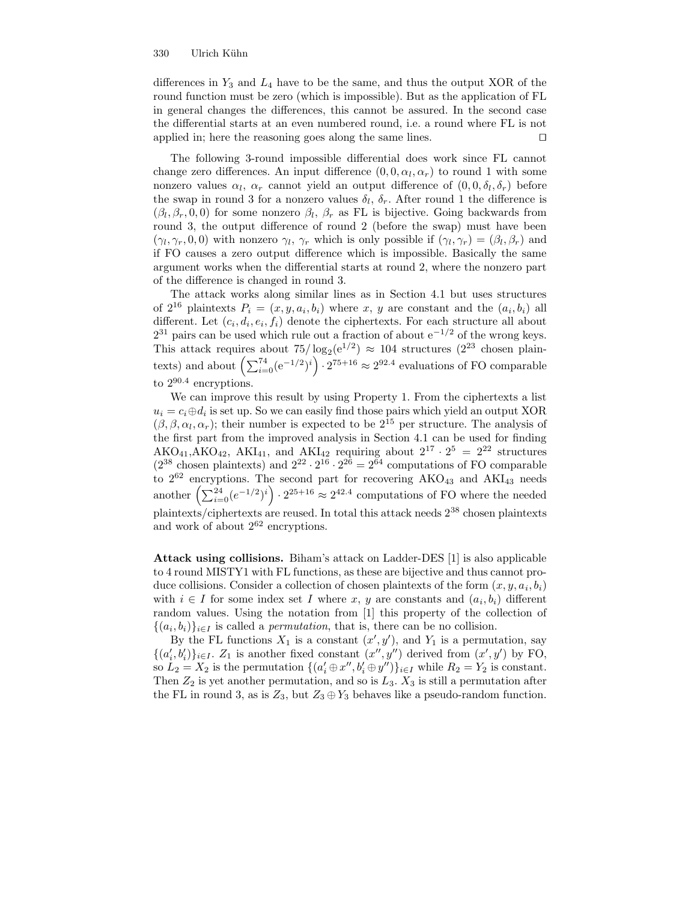#### 330 Ulrich Kuhn ¨

differences in  $Y_3$  and  $L_4$  have to be the same, and thus the output XOR of the round function must be zero (which is impossible). But as the application of FL in general changes the differences, this cannot be assured. In the second case the differential starts at an even numbered round, i.e. a round where FL is not applied in; here the reasoning goes along the same lines.  $\square$ 

The following 3-round impossible differential does work since FL cannot change zero differences. An input difference  $(0, 0, \alpha_l, \alpha_r)$  to round 1 with some nonzero values  $\alpha_l$ ,  $\alpha_r$  cannot yield an output difference of  $(0, 0, \delta_l, \delta_r)$  before the swap in round 3 for a nonzero values  $\delta_l$ ,  $\delta_r$ . After round 1 the difference is  $(\beta_l, \beta_r, 0, 0)$  for some nonzero  $\beta_l$ ,  $\beta_r$  as FL is bijective. Going backwards from round 3, the output difference of round 2 (before the swap) must have been  $(\gamma_l, \gamma_r, 0, 0)$  with nonzero  $\gamma_l, \gamma_r$  which is only possible if  $(\gamma_l, \gamma_r) = (\beta_l, \beta_r)$  and if FO causes a zero output difference which is impossible. Basically the same argument works when the differential starts at round 2, where the nonzero part of the difference is changed in round 3.

The attack works along similar lines as in Section 4.1 but uses structures of  $2^{16}$  plaintexts  $P_i = (x, y, a_i, b_i)$  where x, y are constant and the  $(a_i, b_i)$  all different. Let  $(c_i, d_i, e_i, f_i)$  denote the ciphertexts. For each structure all about  $2^{31}$  pairs can be used which rule out a fraction of about  $e^{-1/2}$  of the wrong keys. This attack requires about  $75/\log_2(e^{1/2}) \approx 104$  structures  $(2^{23}$  chosen plaintexts) and about  $\left(\sum_{i=0}^{74} (e^{-1/2})^i\right) \cdot 2^{75+16} \approx 2^{92.4}$  evaluations of FO comparable to  $2^{90.4}$  encryptions.

We can improve this result by using Property 1. From the ciphertexts a list  $u_i = c_i \oplus d_i$  is set up. So we can easily find those pairs which yield an output XOR  $(\beta, \beta, \alpha_l, \alpha_r)$ ; their number is expected to be  $2^{15}$  per structure. The analysis of the first part from the improved analysis in Section 4.1 can be used for finding  $AKO_{41}$ , AK $O_{42}$ , AKI<sub>41</sub>, and AKI<sub>42</sub> requiring about  $2^{17} \cdot 2^5 = 2^{22}$  structures  $(2^{38} \text{ chosen plaintexts})$  and  $2^{22} \cdot 2^{16} \cdot 2^{26} = 2^{64}$  computations of FO comparable to  $2^{62}$  encryptions. The second part for recovering  $AKO_{43}$  and  $AKI_{43}$  needs another  $\left(\sum_{i=0}^{24} (e^{-1/2})^i\right) \cdot 2^{25+16} \approx 2^{42.4}$  computations of FO where the needed plaintexts/ciphertexts are reused. In total this attack needs 2 <sup>38</sup> chosen plaintexts and work of about  $2^{62}$  encryptions.

Attack using collisions. Biham's attack on Ladder-DES [1] is also applicable to 4 round MISTY1 with FL functions, as these are bijective and thus cannot produce collisions. Consider a collection of chosen plaintexts of the form  $(x, y, a_i, b_i)$ with  $i \in I$  for some index set I where x, y are constants and  $(a_i, b_i)$  different random values. Using the notation from [1] this property of the collection of  $\{(a_i, b_i)\}_{i \in I}$  is called a *permutation*, that is, there can be no collision.

By the FL functions  $X_1$  is a constant  $(x', y')$ , and  $Y_1$  is a permutation, say  $\{(a'_i, b'_i)\}_{i \in I}$ .  $Z_1$  is another fixed constant  $(x'', y'')$  derived from  $(x', y')$  by FO, so  $L_2 = X_2$  is the permutation  $\{(a'_i \oplus x'', b'_i \oplus y'')\}_{i \in I}$  while  $R_2 = Y_2$  is constant. Then  $Z_2$  is yet another permutation, and so is  $L_3$ .  $X_3$  is still a permutation after the FL in round 3, as is  $Z_3$ , but  $Z_3 \oplus Y_3$  behaves like a pseudo-random function.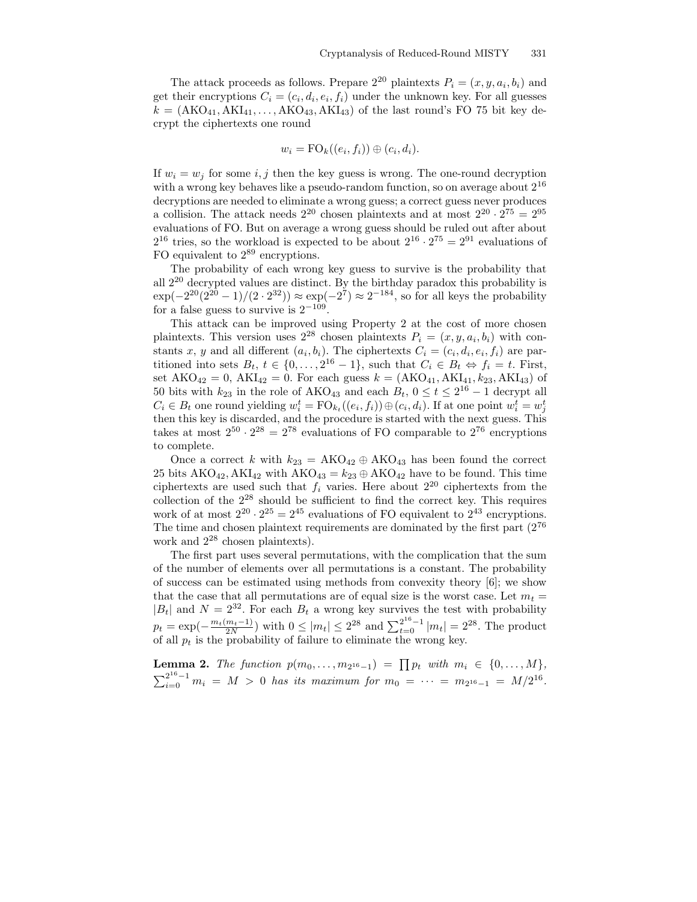The attack proceeds as follows. Prepare  $2^{20}$  plaintexts  $P_i = (x, y, a_i, b_i)$  and get their encryptions  $C_i = (c_i, d_i, e_i, f_i)$  under the unknown key. For all guesses  $k = (AKO_{41}, AKI_{41},\ldots, AKO_{43}, AKI_{43})$  of the last round's FO 75 bit key decrypt the ciphertexts one round

$$
w_i = \mathrm{FO}_k((e_i, f_i)) \oplus (c_i, d_i).
$$

If  $w_i = w_j$  for some i, j then the key guess is wrong. The one-round decryption with a wrong key behaves like a pseudo-random function, so on average about  $2^{16}$ decryptions are needed to eliminate a wrong guess; a correct guess never produces a collision. The attack needs  $2^{20}$  chosen plaintexts and at most  $2^{20} \cdot 2^{75} = 2^{95}$ evaluations of FO. But on average a wrong guess should be ruled out after about  $2^{16}$  tries, so the workload is expected to be about  $2^{16} \cdot 2^{75} = 2^{91}$  evaluations of FO equivalent to  $2^{89}$  encryptions.

The probability of each wrong key guess to survive is the probability that all 2 <sup>20</sup> decrypted values are distinct. By the birthday paradox this probability is  $\exp(-2^{20}(2^{20}-1)/(2 \cdot 2^{32})) \approx \exp(-2^7) \approx 2^{-184}$ , so for all keys the probability for a false guess to survive is  $2^{-109}$ .

This attack can be improved using Property 2 at the cost of more chosen plaintexts. This version uses  $2^{28}$  chosen plaintexts  $P_i = (x, y, a_i, b_i)$  with constants x, y and all different  $(a_i, b_i)$ . The ciphertexts  $C_i = (c_i, d_i, e_i, f_i)$  are partitioned into sets  $B_t$ ,  $t \in \{0, \ldots, 2^{16} - 1\}$ , such that  $C_i \in B_t \Leftrightarrow f_i = t$ . First, set  $AKO_{42} = 0$ ,  $AKI_{42} = 0$ . For each guess  $k = (AKO_{41}, AKI_{41}, k_{23}, AKI_{43})$  of 50 bits with  $k_{23}$  in the role of AKO<sub>43</sub> and each  $B_t$ ,  $0 \le t \le 2^{16} - 1$  decrypt all  $C_i \in B_t$  one round yielding  $w_i^t = \text{FO}_{k_t}((e_i, f_i)) \oplus (c_i, d_i)$ . If at one point  $w_i^t = w_j^t$ then this key is discarded, and the procedure is started with the next guess. This takes at most  $2^{50} \cdot 2^{28} = 2^{78}$  evaluations of FO comparable to  $2^{76}$  encryptions to complete.

Once a correct k with  $k_{23} = AKO_{42} \oplus AKO_{43}$  has been found the correct 25 bits  $AKO_{42}$ ,  $AKI_{42}$  with  $AKO_{43} = k_{23} \oplus AKO_{42}$  have to be found. This time ciphertexts are used such that  $f_i$  varies. Here about  $2^{20}$  ciphertexts from the collection of the 2 <sup>28</sup> should be sufficient to find the correct key. This requires work of at most  $2^{20} \cdot 2^{25} = 2^{45}$  evaluations of FO equivalent to  $2^{43}$  encryptions. The time and chosen plaintext requirements are dominated by the first part  $(2^{76}$ work and  $2^{28}$  chosen plaintexts).

The first part uses several permutations, with the complication that the sum of the number of elements over all permutations is a constant. The probability of success can be estimated using methods from convexity theory [6]; we show that the case that all permutations are of equal size is the worst case. Let  $m_t =$  $|B_t|$  and  $N = 2^{32}$ . For each  $B_t$  a wrong key survives the test with probability  $p_t = \exp(-\frac{m_t(m_t-1)}{2N})$  with  $0 \le |m_t| \le 2^{28}$  and  $\sum_{t=0}^{2^{16}-1} |m_t| = 2^{28}$ . The product of all  $p_t$  is the probability of failure to eliminate the wrong key.

**Lemma 2.** The function  $p(m_0, \ldots, m_{2^{16}-1}) = \prod p_t$  with  $m_i \in \{0, \ldots, M\}$ ,  $\sum_{i=0}^{2^{16}-1} m_i = M > 0$  has its maximum for  $m_0 = \cdots = m_{2^{16}-1} = M/2^{16}$ .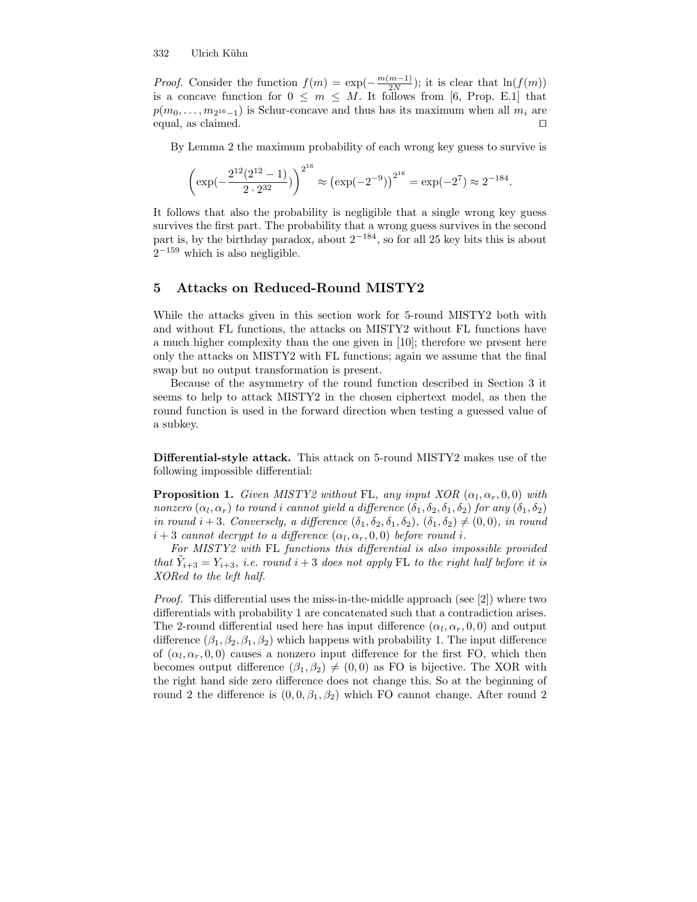#### 332 Ulrich Kühn

*Proof.* Consider the function  $f(m) = \exp(-\frac{m(m-1)}{2N})$  $\frac{m-1}{2N}$ ; it is clear that  $\ln(f(m))$ is a concave function for  $0 \leq m \leq M$ . It follows from [6, Prop. E.1] that  $p(m_0, \ldots, m_{2^{16}-1})$  is Schur-concave and thus has its maximum when all  $m_i$  are equal, as claimed.  $\Box$ 

By Lemma 2 the maximum probability of each wrong key guess to survive is

$$
\left(\exp(-\frac{2^{12}(2^{12}-1)}{2\cdot 2^{32}})\right)^{2^{16}} \approx \left(\exp(-2^{-9})\right)^{2^{16}} = \exp(-2^7) \approx 2^{-184}.
$$

It follows that also the probability is negligible that a single wrong key guess survives the first part. The probability that a wrong guess survives in the second part is, by the birthday paradox, about  $2^{-184}$ , so for all 25 key bits this is about  $2^{-159}$  which is also negligible.

### 5 Attacks on Reduced-Round MISTY2

While the attacks given in this section work for 5-round MISTY2 both with and without FL functions, the attacks on MISTY2 without FL functions have a much higher complexity than the one given in [10]; therefore we present here only the attacks on MISTY2 with FL functions; again we assume that the final swap but no output transformation is present.

Because of the asymmetry of the round function described in Section 3 it seems to help to attack MISTY2 in the chosen ciphertext model, as then the round function is used in the forward direction when testing a guessed value of a subkey.

Differential-style attack. This attack on 5-round MISTY2 makes use of the following impossible differential:

**Proposition 1.** Given MISTY2 without FL, any input XOR  $(\alpha_l, \alpha_r, 0, 0)$  with nonzero  $(\alpha_l, \alpha_r)$  to round i cannot yield a difference  $(\delta_1, \delta_2, \delta_1, \delta_2)$  for any  $(\delta_1, \delta_2)$ in round  $i + 3$ . Conversely, a difference  $(\delta_1, \delta_2, \delta_1, \delta_2)$ ,  $(\delta_1, \delta_2) \neq (0, 0)$ , in round  $i+3$  cannot decrypt to a difference  $(\alpha_l, \alpha_r, 0, 0)$  before round i.

For MISTY2 with FL functions this differential is also impossible provided that  $\tilde{Y}_{i+3} = Y_{i+3}$ , i.e. round  $i+3$  does not apply FL to the right half before it is XORed to the left half.

Proof. This differential uses the miss-in-the-middle approach (see [2]) where two differentials with probability 1 are concatenated such that a contradiction arises. The 2-round differential used here has input difference  $(\alpha_l, \alpha_r, 0, 0)$  and output difference  $(\beta_1, \beta_2, \beta_1, \beta_2)$  which happens with probability 1. The input difference of  $(\alpha_l, \alpha_r, 0, 0)$  causes a nonzero input difference for the first FO, which then becomes output difference  $(\beta_1, \beta_2) \neq (0, 0)$  as FO is bijective. The XOR with the right hand side zero difference does not change this. So at the beginning of round 2 the difference is  $(0, 0, \beta_1, \beta_2)$  which FO cannot change. After round 2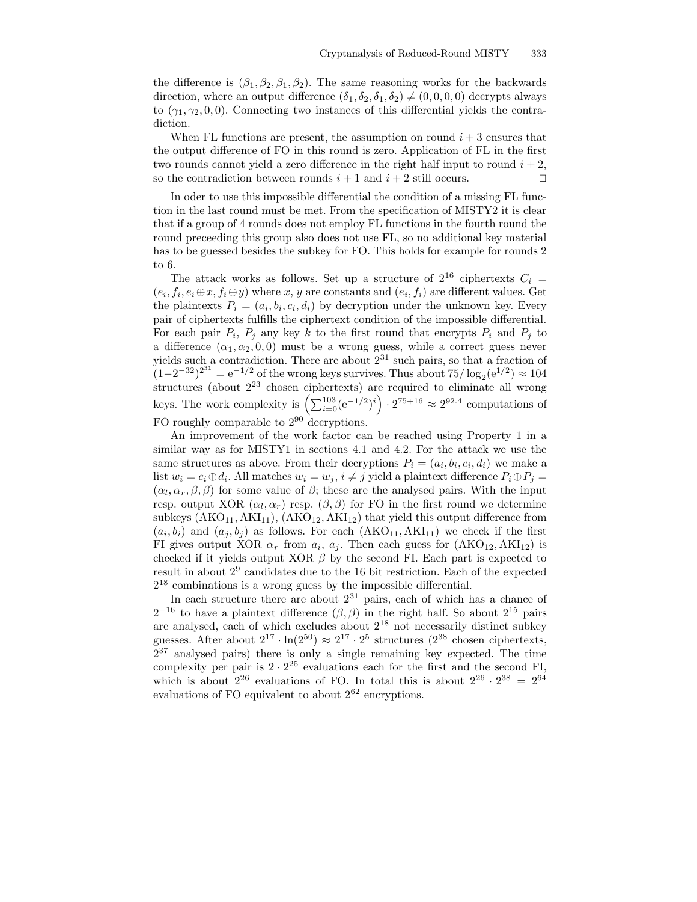the difference is  $(\beta_1, \beta_2, \beta_1, \beta_2)$ . The same reasoning works for the backwards direction, where an output difference  $(\delta_1, \delta_2, \delta_1, \delta_2) \neq (0, 0, 0, 0)$  decrypts always to  $(\gamma_1, \gamma_2, 0, 0)$ . Connecting two instances of this differential yields the contradiction.

When FL functions are present, the assumption on round  $i + 3$  ensures that the output difference of FO in this round is zero. Application of FL in the first two rounds cannot yield a zero difference in the right half input to round  $i + 2$ , so the contradiction between rounds  $i + 1$  and  $i + 2$  still occurs.

In oder to use this impossible differential the condition of a missing FL function in the last round must be met. From the specification of MISTY2 it is clear that if a group of 4 rounds does not employ FL functions in the fourth round the round preceeding this group also does not use FL, so no additional key material has to be guessed besides the subkey for FO. This holds for example for rounds 2 to 6.

The attack works as follows. Set up a structure of  $2^{16}$  ciphertexts  $C_i$  =  $(e_i, f_i, e_i \oplus x, f_i \oplus y)$  where x, y are constants and  $(e_i, f_i)$  are different values. Get the plaintexts  $P_i = (a_i, b_i, c_i, d_i)$  by decryption under the unknown key. Every pair of ciphertexts fulfills the ciphertext condition of the impossible differential. For each pair  $P_i$ ,  $P_j$  any key k to the first round that encrypts  $P_i$  and  $P_j$  to a difference  $(\alpha_1, \alpha_2, 0, 0)$  must be a wrong guess, while a correct guess never yields such a contradiction. There are about  $2^{31}$  such pairs, so that a fraction of  $(1-2^{-32})^{2^{31}} = e^{-1/2}$  of the wrong keys survives. Thus about  $75/\log_2(e^{1/2}) \approx 104$ structures (about 2 <sup>23</sup> chosen ciphertexts) are required to eliminate all wrong keys. The work complexity is  $\left(\sum_{i=0}^{103} (e^{-1/2})^i\right) \cdot 2^{75+16} \approx 2^{92.4}$  computations of FO roughly comparable to  $2^{90}$  decryptions.

An improvement of the work factor can be reached using Property 1 in a similar way as for MISTY1 in sections 4.1 and 4.2. For the attack we use the same structures as above. From their decryptions  $P_i = (a_i, b_i, c_i, d_i)$  we make a list  $w_i = c_i \oplus d_i$ . All matches  $w_i = w_j$ ,  $i \neq j$  yield a plaintext difference  $P_i \oplus P_j =$  $(\alpha_l, \alpha_r, \beta, \beta)$  for some value of  $\beta$ ; these are the analysed pairs. With the input resp. output XOR  $(\alpha_l, \alpha_r)$  resp.  $(\beta, \beta)$  for FO in the first round we determine subkeys  $(AKO<sub>11</sub>, AKI<sub>11</sub>), (AKO<sub>12</sub>, AKI<sub>12</sub>)$  that yield this output difference from  $(a_i, b_i)$  and  $(a_j, b_j)$  as follows. For each  $(AKO_{11}, AKI_{11})$  we check if the first FI gives output XOR  $\alpha_r$  from  $a_i$ ,  $a_j$ . Then each guess for  $(AKO_{12}, AKI_{12})$  is checked if it yields output XOR  $\beta$  by the second FI. Each part is expected to result in about 2 9 candidates due to the 16 bit restriction. Each of the expected 2 <sup>18</sup> combinations is a wrong guess by the impossible differential.

In each structure there are about  $2^{31}$  pairs, each of which has a chance of  $2^{-16}$  to have a plaintext difference  $(\beta, \beta)$  in the right half. So about  $2^{15}$  pairs are analysed, each of which excludes about 2 <sup>18</sup> not necessarily distinct subkey guesses. After about  $2^{17} \cdot \ln(2^{50}) \approx 2^{17} \cdot 2^5$  structures  $(2^{38}$  chosen ciphertexts,  $2^{37}$  analysed pairs) there is only a single remaining key expected. The time complexity per pair is  $2 \cdot 2^{25}$  evaluations each for the first and the second FI, which is about  $2^{26}$  evaluations of FO. In total this is about  $2^{26} \cdot 2^{38} = 2^{64}$ evaluations of FO equivalent to about  $2^{62}$  encryptions.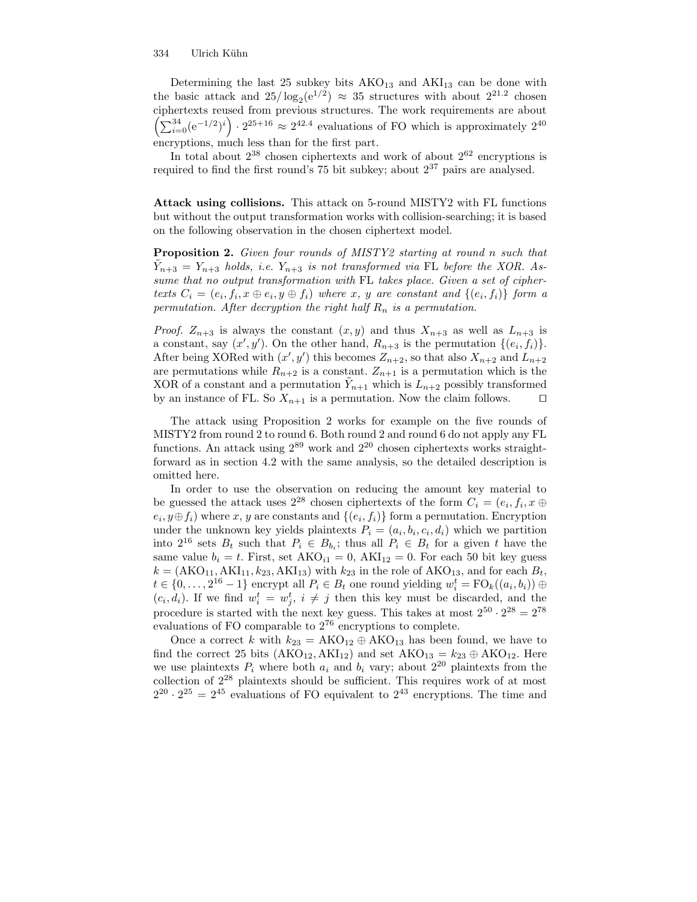Determining the last 25 subkey bits  $AKO_{13}$  and  $AKI_{13}$  can be done with the basic attack and  $25/\log_2(e^{1/2}) \approx 35$  structures with about  $2^{21.2}$  chosen ciphertexts reused from previous structures. The work requirements are about  $\left(\sum_{i=0}^{34} (e^{-1/2})^i\right) \cdot 2^{25+16} \approx 2^{42.4}$  evaluations of FO which is approximately  $2^{40}$ encryptions, much less than for the first part.

In total about  $2^{38}$  chosen ciphertexts and work of about  $2^{62}$  encryptions is required to find the first round's  $75$  bit subkey; about  $2^{37}$  pairs are analysed.

Attack using collisions. This attack on 5-round MISTY2 with FL functions but without the output transformation works with collision-searching; it is based on the following observation in the chosen ciphertext model.

Proposition 2. Given four rounds of MISTY2 starting at round n such that  $\tilde{Y}_{n+3} = Y_{n+3}$  holds, i.e.  $Y_{n+3}$  is not transformed via FL before the XOR. Assume that no output transformation with FL takes place. Given a set of ciphertexts  $C_i = (e_i, f_i, x \oplus e_i, y \oplus f_i)$  where x, y are constant and  $\{(e_i, f_i)\}\)$  form a permutation. After decryption the right half  $R_n$  is a permutation.

*Proof.*  $Z_{n+3}$  is always the constant  $(x, y)$  and thus  $X_{n+3}$  as well as  $L_{n+3}$  is a constant, say  $(x', y')$ . On the other hand,  $R_{n+3}$  is the permutation  $\{(e_i, f_i)\}.$ After being XORed with  $(x', y')$  this becomes  $Z_{n+2}$ , so that also  $X_{n+2}$  and  $L_{n+2}$ are permutations while  $R_{n+2}$  is a constant.  $Z_{n+1}$  is a permutation which is the XOR of a constant and a permutation  $\tilde{Y}_{n+1}$  which is  $L_{n+2}$  possibly transformed by an instance of FL. So  $X_{n+1}$  is a permutation. Now the claim follows.  $\Box$ 

The attack using Proposition 2 works for example on the five rounds of MISTY2 from round 2 to round 6. Both round 2 and round 6 do not apply any FL functions. An attack using  $2^{89}$  work and  $2^{20}$  chosen ciphertexts works straightforward as in section 4.2 with the same analysis, so the detailed description is omitted here.

In order to use the observation on reducing the amount key material to be guessed the attack uses  $2^{28}$  chosen ciphertexts of the form  $C_i = (e_i, f_i, x \oplus$  $(e_i, y \oplus f_i)$  where x, y are constants and  $\{(e_i, f_i)\}\$ form a permutation. Encryption under the unknown key yields plaintexts  $P_i = (a_i, b_i, c_i, d_i)$  which we partition into  $2^{16}$  sets  $B_t$  such that  $P_i \in B_{b_i}$ ; thus all  $P_i \in B_t$  for a given t have the same value  $b_i = t$ . First, set  $AKO_{i1} = 0$ ,  $AKI_{12} = 0$ . For each 50 bit key guess  $k = (AKO<sub>11</sub>, AKI<sub>11</sub>, k<sub>23</sub>, AKI<sub>13</sub>)$  with  $k<sub>23</sub>$  in the role of AKO<sub>13</sub>, and for each  $B<sub>t</sub>$ ,  $t \in \{0, \ldots, 2^{16} - 1\}$  encrypt all  $P_i \in B_t$  one round yielding  $w_i^t = \text{FO}_k((a_i, b_i)) \oplus$  $(c_i, d_i)$ . If we find  $w_i^t = w_j^t$ ,  $i \neq j$  then this key must be discarded, and the procedure is started with the next key guess. This takes at most  $2^{50} \cdot 2^{28} = 2^{78}$ evaluations of FO comparable to  $2^{76}$  encryptions to complete.

Once a correct k with  $k_{23} = AKO_{12} \oplus AKO_{13}$  has been found, we have to find the correct 25 bits  $(AKO_{12}, AKI_{12})$  and set  $AKO_{13} = k_{23} \oplus AKO_{12}$ . Here we use plaintexts  $P_i$  where both  $a_i$  and  $b_i$  vary; about  $2^{20}$  plaintexts from the collection of 2 <sup>28</sup> plaintexts should be sufficient. This requires work of at most  $2^{20} \cdot 2^{25} = 2^{45}$  evaluations of FO equivalent to  $2^{43}$  encryptions. The time and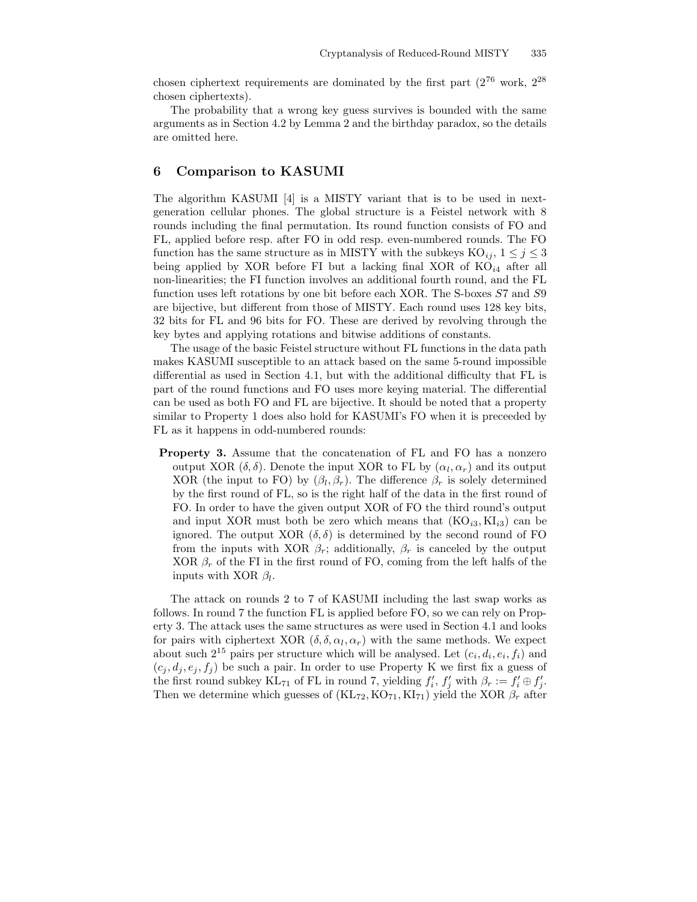chosen ciphertext requirements are dominated by the first part  $(2^{76} \text{ work}, 2^{28})$ chosen ciphertexts).

The probability that a wrong key guess survives is bounded with the same arguments as in Section 4.2 by Lemma 2 and the birthday paradox, so the details are omitted here.

### 6 Comparison to KASUMI

The algorithm KASUMI [4] is a MISTY variant that is to be used in nextgeneration cellular phones. The global structure is a Feistel network with 8 rounds including the final permutation. Its round function consists of FO and FL, applied before resp. after FO in odd resp. even-numbered rounds. The FO function has the same structure as in MISTY with the subkeys  $KO_{ij}$ ,  $1 \leq j \leq 3$ being applied by XOR before FI but a lacking final XOR of  $KO_{i4}$  after all non-linearities; the FI function involves an additional fourth round, and the FL function uses left rotations by one bit before each XOR. The S-boxes S7 and S9 are bijective, but different from those of MISTY. Each round uses 128 key bits, 32 bits for FL and 96 bits for FO. These are derived by revolving through the key bytes and applying rotations and bitwise additions of constants.

The usage of the basic Feistel structure without FL functions in the data path makes KASUMI susceptible to an attack based on the same 5-round impossible differential as used in Section 4.1, but with the additional difficulty that FL is part of the round functions and FO uses more keying material. The differential can be used as both FO and FL are bijective. It should be noted that a property similar to Property 1 does also hold for KASUMI's FO when it is preceeded by FL as it happens in odd-numbered rounds:

Property 3. Assume that the concatenation of FL and FO has a nonzero output XOR  $(\delta, \delta)$ . Denote the input XOR to FL by  $(\alpha_l, \alpha_r)$  and its output XOR (the input to FO) by  $(\beta_l, \beta_r)$ . The difference  $\beta_r$  is solely determined by the first round of FL, so is the right half of the data in the first round of FO. In order to have the given output XOR of FO the third round's output and input XOR must both be zero which means that  $(KO_{i3}, KI_{i3})$  can be ignored. The output XOR  $(\delta, \delta)$  is determined by the second round of FO from the inputs with XOR  $\beta_r$ ; additionally,  $\beta_r$  is canceled by the output XOR  $\beta_r$  of the FI in the first round of FO, coming from the left halfs of the inputs with XOR  $\beta_l$ .

The attack on rounds 2 to 7 of KASUMI including the last swap works as follows. In round 7 the function FL is applied before FO, so we can rely on Property 3. The attack uses the same structures as were used in Section 4.1 and looks for pairs with ciphertext XOR  $(\delta, \delta, \alpha_l, \alpha_r)$  with the same methods. We expect about such  $2^{15}$  pairs per structure which will be analysed. Let  $(c_i, d_i, e_i, f_i)$  and  $(c_i, d_i, e_i, f_i)$  be such a pair. In order to use Property K we first fix a guess of the first round subkey KL<sub>71</sub> of FL in round 7, yielding  $f'_i$ ,  $f'_j$  with  $\beta_r := f'_i \oplus f'_j$ . Then we determine which guesses of  $(KL_{72}, KO_{71}, KI_{71})$  yield the XOR  $\beta_r$  after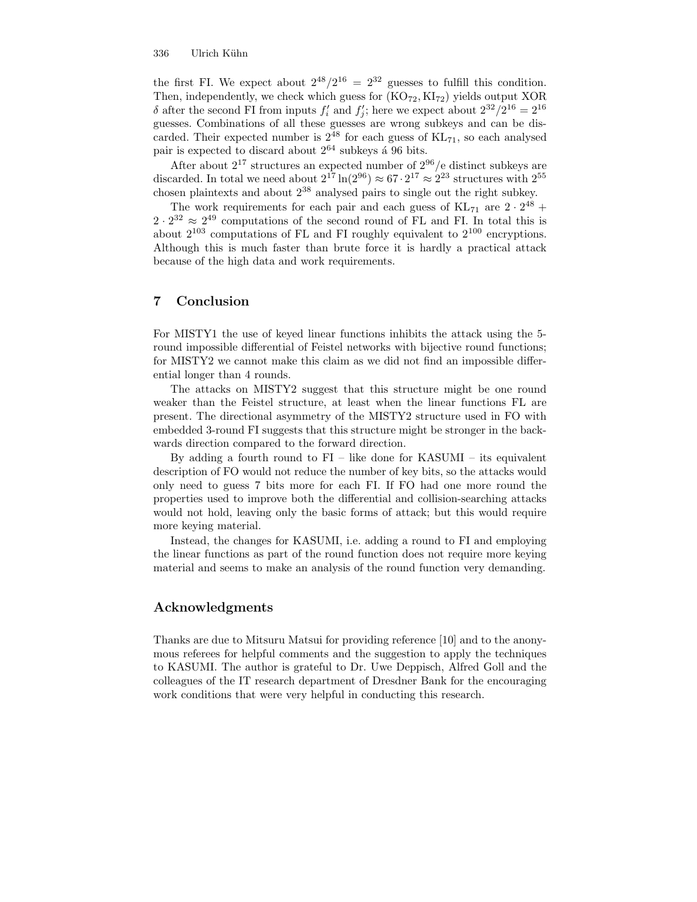the first FI. We expect about  $2^{48}/2^{16} = 2^{32}$  guesses to fulfill this condition. Then, independently, we check which guess for  $(KO_{72}, KI_{72})$  yields output XOR δ after the second FI from inputs  $f'_{i}$  and  $f'_{j}$ ; here we expect about  $2^{32}/2^{16} = 2^{16}$ guesses. Combinations of all these guesses are wrong subkeys and can be discarded. Their expected number is  $2^{48}$  for each guess of  $KL_{71}$ , so each analysed pair is expected to discard about  $2^{64}$  subkeys á 96 bits.

After about  $2^{17}$  structures an expected number of  $2^{96}$ /e distinct subkeys are discarded. In total we need about  $2^{17} \ln(2^{96}) \approx 67 \cdot 2^{17} \approx 2^{23}$  structures with  $2^{55}$ chosen plaintexts and about 2 <sup>38</sup> analysed pairs to single out the right subkey.

The work requirements for each pair and each guess of  $\text{KL}_{71}$  are  $2 \cdot 2^{48}$  +  $2 \cdot 2^{32} \approx 2^{49}$  computations of the second round of FL and FI. In total this is about  $2^{103}$  computations of FL and FI roughly equivalent to  $2^{100}$  encryptions. Although this is much faster than brute force it is hardly a practical attack because of the high data and work requirements.

### 7 Conclusion

For MISTY1 the use of keyed linear functions inhibits the attack using the 5 round impossible differential of Feistel networks with bijective round functions; for MISTY2 we cannot make this claim as we did not find an impossible differential longer than 4 rounds.

The attacks on MISTY2 suggest that this structure might be one round weaker than the Feistel structure, at least when the linear functions FL are present. The directional asymmetry of the MISTY2 structure used in FO with embedded 3-round FI suggests that this structure might be stronger in the backwards direction compared to the forward direction.

By adding a fourth round to  $FI$  – like done for KASUMI – its equivalent description of FO would not reduce the number of key bits, so the attacks would only need to guess 7 bits more for each FI. If FO had one more round the properties used to improve both the differential and collision-searching attacks would not hold, leaving only the basic forms of attack; but this would require more keying material.

Instead, the changes for KASUMI, i.e. adding a round to FI and employing the linear functions as part of the round function does not require more keying material and seems to make an analysis of the round function very demanding.

### Acknowledgments

Thanks are due to Mitsuru Matsui for providing reference [10] and to the anonymous referees for helpful comments and the suggestion to apply the techniques to KASUMI. The author is grateful to Dr. Uwe Deppisch, Alfred Goll and the colleagues of the IT research department of Dresdner Bank for the encouraging work conditions that were very helpful in conducting this research.